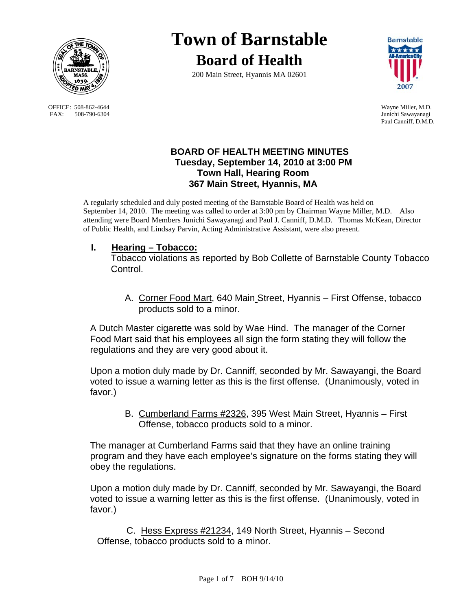

OFFICE: 508-862-4644 Wayne Miller, M.D.<br>
FAX: 508-790-6304 Junichi Sawayanagi FAX: 508-790-6304

# **Town of Barnstable Board of Health**

200 Main Street, Hyannis MA 02601



Paul Canniff, D.M.D.

# **BOARD OF HEALTH MEETING MINUTES Tuesday, September 14, 2010 at 3:00 PM Town Hall, Hearing Room 367 Main Street, Hyannis, MA**

A regularly scheduled and duly posted meeting of the Barnstable Board of Health was held on September 14, 2010. The meeting was called to order at 3:00 pm by Chairman Wayne Miller, M.D. Also attending were Board Members Junichi Sawayanagi and Paul J. Canniff, D.M.D. Thomas McKean, Director of Public Health, and Lindsay Parvin, Acting Administrative Assistant, were also present.

# **I. Hearing – Tobacco:**

Tobacco violations as reported by Bob Collette of Barnstable County Tobacco Control.

A. Corner Food Mart, 640 Main Street, Hyannis – First Offense, tobacco products sold to a minor.

A Dutch Master cigarette was sold by Wae Hind. The manager of the Corner Food Mart said that his employees all sign the form stating they will follow the regulations and they are very good about it.

Upon a motion duly made by Dr. Canniff, seconded by Mr. Sawayangi, the Board voted to issue a warning letter as this is the first offense. (Unanimously, voted in favor.)

> B. Cumberland Farms #2326, 395 West Main Street, Hyannis – First Offense, tobacco products sold to a minor.

The manager at Cumberland Farms said that they have an online training program and they have each employee's signature on the forms stating they will obey the regulations.

Upon a motion duly made by Dr. Canniff, seconded by Mr. Sawayangi, the Board voted to issue a warning letter as this is the first offense. (Unanimously, voted in favor.)

 C. Hess Express #21234, 149 North Street, Hyannis – Second Offense, tobacco products sold to a minor.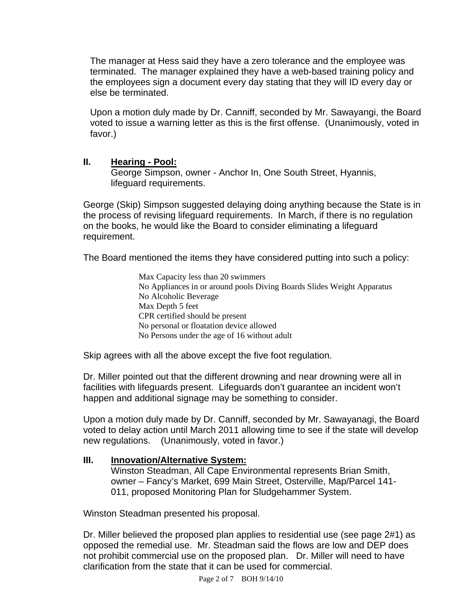The manager at Hess said they have a zero tolerance and the employee was terminated. The manager explained they have a web-based training policy and the employees sign a document every day stating that they will ID every day or else be terminated.

Upon a motion duly made by Dr. Canniff, seconded by Mr. Sawayangi, the Board voted to issue a warning letter as this is the first offense. (Unanimously, voted in favor.)

# **II. Hearing - Pool:**

 George Simpson, owner - Anchor In, One South Street, Hyannis, lifeguard requirements.

George (Skip) Simpson suggested delaying doing anything because the State is in the process of revising lifeguard requirements. In March, if there is no regulation on the books, he would like the Board to consider eliminating a lifeguard requirement.

The Board mentioned the items they have considered putting into such a policy:

Max Capacity less than 20 swimmers No Appliances in or around pools Diving Boards Slides Weight Apparatus No Alcoholic Beverage Max Depth 5 feet CPR certified should be present No personal or floatation device allowed No Persons under the age of 16 without adult

Skip agrees with all the above except the five foot regulation.

Dr. Miller pointed out that the different drowning and near drowning were all in facilities with lifeguards present. Lifeguards don't guarantee an incident won't happen and additional signage may be something to consider.

Upon a motion duly made by Dr. Canniff, seconded by Mr. Sawayanagi, the Board voted to delay action until March 2011 allowing time to see if the state will develop new regulations. (Unanimously, voted in favor.)

# **III. Innovation/Alternative System:**

 Winston Steadman, All Cape Environmental represents Brian Smith, owner – Fancy's Market, 699 Main Street, Osterville, Map/Parcel 141- 011, proposed Monitoring Plan for Sludgehammer System.

Winston Steadman presented his proposal.

Dr. Miller believed the proposed plan applies to residential use (see page 2#1) as opposed the remedial use. Mr. Steadman said the flows are low and DEP does not prohibit commercial use on the proposed plan. Dr. Miller will need to have clarification from the state that it can be used for commercial.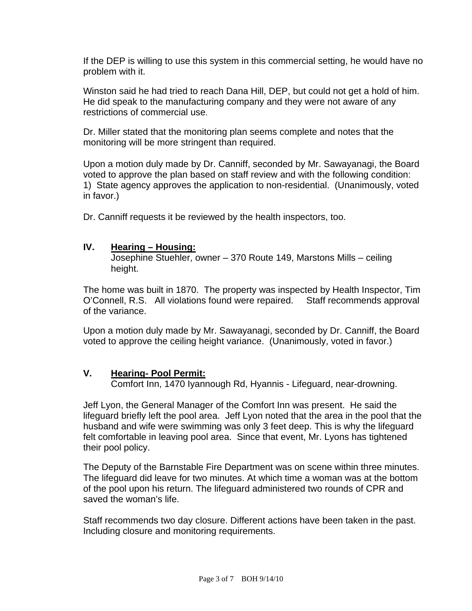If the DEP is willing to use this system in this commercial setting, he would have no problem with it.

Winston said he had tried to reach Dana Hill, DEP, but could not get a hold of him. He did speak to the manufacturing company and they were not aware of any restrictions of commercial use.

Dr. Miller stated that the monitoring plan seems complete and notes that the monitoring will be more stringent than required.

Upon a motion duly made by Dr. Canniff, seconded by Mr. Sawayanagi, the Board voted to approve the plan based on staff review and with the following condition: 1) State agency approves the application to non-residential. (Unanimously, voted in favor.)

Dr. Canniff requests it be reviewed by the health inspectors, too.

#### **IV. Hearing – Housing:**

 Josephine Stuehler, owner – 370 Route 149, Marstons Mills – ceiling height.

The home was built in 1870. The property was inspected by Health Inspector, Tim O'Connell, R.S. All violations found were repaired. Staff recommends approval of the variance.

Upon a motion duly made by Mr. Sawayanagi, seconded by Dr. Canniff, the Board voted to approve the ceiling height variance. (Unanimously, voted in favor.)

# **V. Hearing- Pool Permit:**

Comfort Inn, 1470 Iyannough Rd, Hyannis - Lifeguard, near-drowning.

Jeff Lyon, the General Manager of the Comfort Inn was present. He said the lifeguard briefly left the pool area. Jeff Lyon noted that the area in the pool that the husband and wife were swimming was only 3 feet deep. This is why the lifeguard felt comfortable in leaving pool area. Since that event, Mr. Lyons has tightened their pool policy.

The Deputy of the Barnstable Fire Department was on scene within three minutes. The lifeguard did leave for two minutes. At which time a woman was at the bottom of the pool upon his return. The lifeguard administered two rounds of CPR and saved the woman's life.

Staff recommends two day closure. Different actions have been taken in the past. Including closure and monitoring requirements.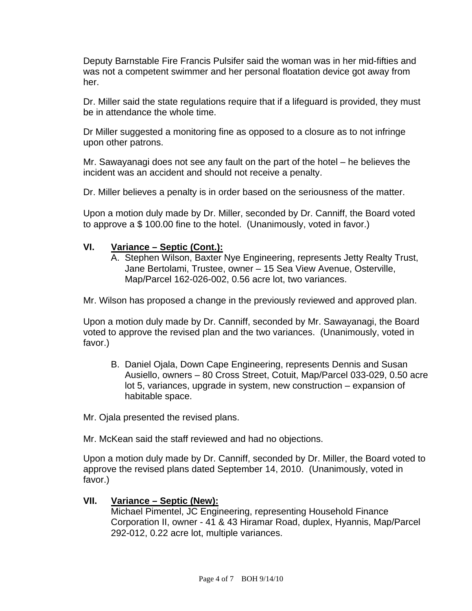Deputy Barnstable Fire Francis Pulsifer said the woman was in her mid-fifties and was not a competent swimmer and her personal floatation device got away from her.

Dr. Miller said the state regulations require that if a lifeguard is provided, they must be in attendance the whole time.

Dr Miller suggested a monitoring fine as opposed to a closure as to not infringe upon other patrons.

Mr. Sawayanagi does not see any fault on the part of the hotel – he believes the incident was an accident and should not receive a penalty.

Dr. Miller believes a penalty is in order based on the seriousness of the matter.

Upon a motion duly made by Dr. Miller, seconded by Dr. Canniff, the Board voted to approve a \$ 100.00 fine to the hotel. (Unanimously, voted in favor.)

#### **VI. Variance – Septic (Cont.):**

A. Stephen Wilson, Baxter Nye Engineering, represents Jetty Realty Trust, Jane Bertolami, Trustee, owner – 15 Sea View Avenue, Osterville, Map/Parcel 162-026-002, 0.56 acre lot, two variances.

Mr. Wilson has proposed a change in the previously reviewed and approved plan.

Upon a motion duly made by Dr. Canniff, seconded by Mr. Sawayanagi, the Board voted to approve the revised plan and the two variances. (Unanimously, voted in favor.)

B. Daniel Ojala, Down Cape Engineering, represents Dennis and Susan Ausiello, owners – 80 Cross Street, Cotuit, Map/Parcel 033-029, 0.50 acre lot 5, variances, upgrade in system, new construction – expansion of habitable space.

Mr. Ojala presented the revised plans.

Mr. McKean said the staff reviewed and had no objections.

Upon a motion duly made by Dr. Canniff, seconded by Dr. Miller, the Board voted to approve the revised plans dated September 14, 2010. (Unanimously, voted in favor.)

#### **VII. Variance – Septic (New):**

Michael Pimentel, JC Engineering, representing Household Finance Corporation II, owner - 41 & 43 Hiramar Road, duplex, Hyannis, Map/Parcel 292-012, 0.22 acre lot, multiple variances.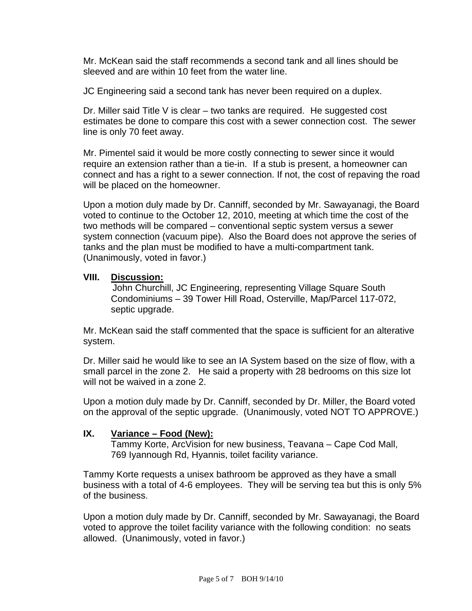Mr. McKean said the staff recommends a second tank and all lines should be sleeved and are within 10 feet from the water line.

JC Engineering said a second tank has never been required on a duplex.

Dr. Miller said Title V is clear – two tanks are required.He suggested cost estimates be done to compare this cost with a sewer connection cost. The sewer line is only 70 feet away.

Mr. Pimentel said it would be more costly connecting to sewer since it would require an extension rather than a tie-in. If a stub is present, a homeowner can connect and has a right to a sewer connection. If not, the cost of repaving the road will be placed on the homeowner.

Upon a motion duly made by Dr. Canniff, seconded by Mr. Sawayanagi, the Board voted to continue to the October 12, 2010, meeting at which time the cost of the two methods will be compared – conventional septic system versus a sewer system connection (vacuum pipe). Also the Board does not approve the series of tanks and the plan must be modified to have a multi-compartment tank. (Unanimously, voted in favor.)

#### **VIII. Discussion:**

John Churchill, JC Engineering, representing Village Square South Condominiums – 39 Tower Hill Road, Osterville, Map/Parcel 117-072, septic upgrade.

Mr. McKean said the staff commented that the space is sufficient for an alterative system.

Dr. Miller said he would like to see an IA System based on the size of flow, with a small parcel in the zone 2. He said a property with 28 bedrooms on this size lot will not be waived in a zone 2.

Upon a motion duly made by Dr. Canniff, seconded by Dr. Miller, the Board voted on the approval of the septic upgrade. (Unanimously, voted NOT TO APPROVE.)

# **IX. Variance – Food (New):**

 Tammy Korte, ArcVision for new business, Teavana – Cape Cod Mall, 769 Iyannough Rd, Hyannis, toilet facility variance.

Tammy Korte requests a unisex bathroom be approved as they have a small business with a total of 4-6 employees. They will be serving tea but this is only 5% of the business.

Upon a motion duly made by Dr. Canniff, seconded by Mr. Sawayanagi, the Board voted to approve the toilet facility variance with the following condition: no seats allowed. (Unanimously, voted in favor.)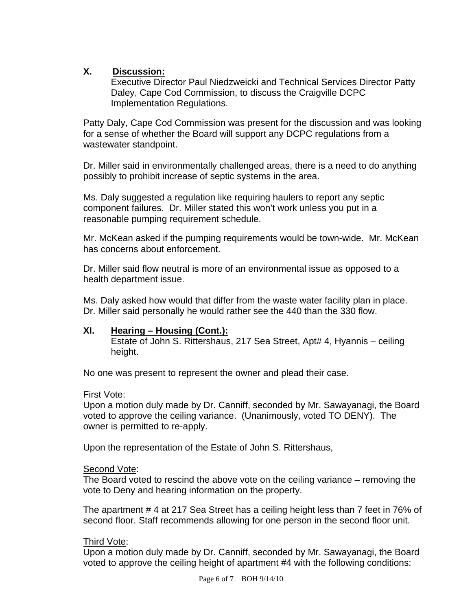# **X. Discussion:**

Executive Director Paul Niedzweicki and Technical Services Director Patty Daley, Cape Cod Commission, to discuss the Craigville DCPC Implementation Regulations.

Patty Daly, Cape Cod Commission was present for the discussion and was looking for a sense of whether the Board will support any DCPC regulations from a wastewater standpoint.

Dr. Miller said in environmentally challenged areas, there is a need to do anything possibly to prohibit increase of septic systems in the area.

Ms. Daly suggested a regulation like requiring haulers to report any septic component failures. Dr. Miller stated this won't work unless you put in a reasonable pumping requirement schedule.

Mr. McKean asked if the pumping requirements would be town-wide. Mr. McKean has concerns about enforcement.

Dr. Miller said flow neutral is more of an environmental issue as opposed to a health department issue.

Ms. Daly asked how would that differ from the waste water facility plan in place. Dr. Miller said personally he would rather see the 440 than the 330 flow.

# **XI. Hearing – Housing (Cont.):**

 Estate of John S. Rittershaus, 217 Sea Street, Apt# 4, Hyannis – ceiling height.

No one was present to represent the owner and plead their case.

# First Vote:

Upon a motion duly made by Dr. Canniff, seconded by Mr. Sawayanagi, the Board voted to approve the ceiling variance. (Unanimously, voted TO DENY). The owner is permitted to re-apply.

Upon the representation of the Estate of John S. Rittershaus,

# Second Vote:

The Board voted to rescind the above vote on the ceiling variance – removing the vote to Deny and hearing information on the property.

The apartment # 4 at 217 Sea Street has a ceiling height less than 7 feet in 76% of second floor. Staff recommends allowing for one person in the second floor unit.

# Third Vote:

Upon a motion duly made by Dr. Canniff, seconded by Mr. Sawayanagi, the Board voted to approve the ceiling height of apartment #4 with the following conditions: